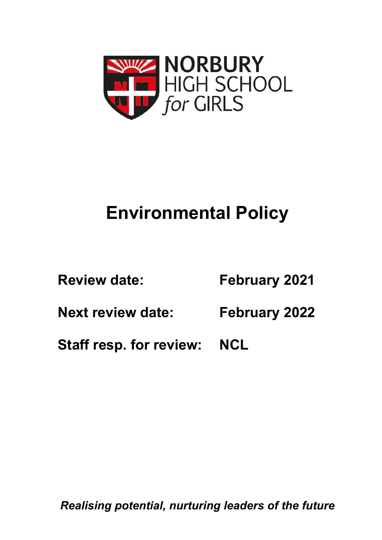

# **Environmental Policy**

**Review date: February 2021 Next review date: February 2022 Staff resp. for review: NCL**

*Realising potential, nurturing leaders of the future*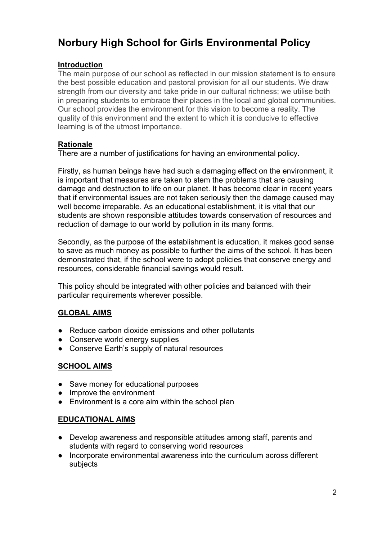# **Norbury High School for Girls Environmental Policy**

#### **Introduction**

The main purpose of our school as reflected in our mission statement is to ensure the best possible education and pastoral provision for all our students. We draw strength from our diversity and take pride in our cultural richness; we utilise both in preparing students to embrace their places in the local and global communities. Our school provides the environment for this vision to become a reality. The quality of this environment and the extent to which it is conducive to effective learning is of the utmost importance.

### **Rationale**

There are a number of justifications for having an environmental policy.

Firstly, as human beings have had such a damaging effect on the environment, it is important that measures are taken to stem the problems that are causing damage and destruction to life on our planet. It has become clear in recent years that if environmental issues are not taken seriously then the damage caused may well become irreparable. As an educational establishment, it is vital that our students are shown responsible attitudes towards conservation of resources and reduction of damage to our world by pollution in its many forms.

Secondly, as the purpose of the establishment is education, it makes good sense to save as much money as possible to further the aims of the school. It has been demonstrated that, if the school were to adopt policies that conserve energy and resources, considerable financial savings would result.

This policy should be integrated with other policies and balanced with their particular requirements wherever possible.

# **GLOBAL AIMS**

- Reduce carbon dioxide emissions and other pollutants
- Conserve world energy supplies
- Conserve Earth's supply of natural resources

#### **SCHOOL AIMS**

- Save money for educational purposes
- Improve the environment
- Environment is a core aim within the school plan

#### **EDUCATIONAL AIMS**

- Develop awareness and responsible attitudes among staff, parents and students with regard to conserving world resources
- Incorporate environmental awareness into the curriculum across different subjects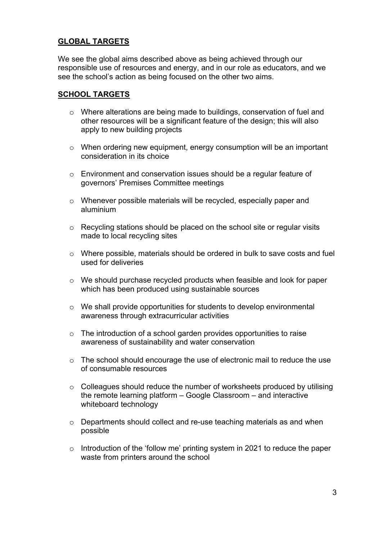### **GLOBAL TARGETS**

We see the global aims described above as being achieved through our responsible use of resources and energy, and in our role as educators, and we see the school's action as being focused on the other two aims.

#### **SCHOOL TARGETS**

- o Where alterations are being made to buildings, conservation of fuel and other resources will be a significant feature of the design; this will also apply to new building projects
- o When ordering new equipment, energy consumption will be an important consideration in its choice
- o Environment and conservation issues should be a regular feature of governors' Premises Committee meetings
- o Whenever possible materials will be recycled, especially paper and aluminium
- o Recycling stations should be placed on the school site or regular visits made to local recycling sites
- o Where possible, materials should be ordered in bulk to save costs and fuel used for deliveries
- $\circ$  We should purchase recycled products when feasible and look for paper which has been produced using sustainable sources
- o We shall provide opportunities for students to develop environmental awareness through extracurricular activities
- o The introduction of a school garden provides opportunities to raise awareness of sustainability and water conservation
- o The school should encourage the use of electronic mail to reduce the use of consumable resources
- o Colleagues should reduce the number of worksheets produced by utilising the remote learning platform – Google Classroom – and interactive whiteboard technology
- o Departments should collect and re-use teaching materials as and when possible
- o Introduction of the 'follow me' printing system in 2021 to reduce the paper waste from printers around the school